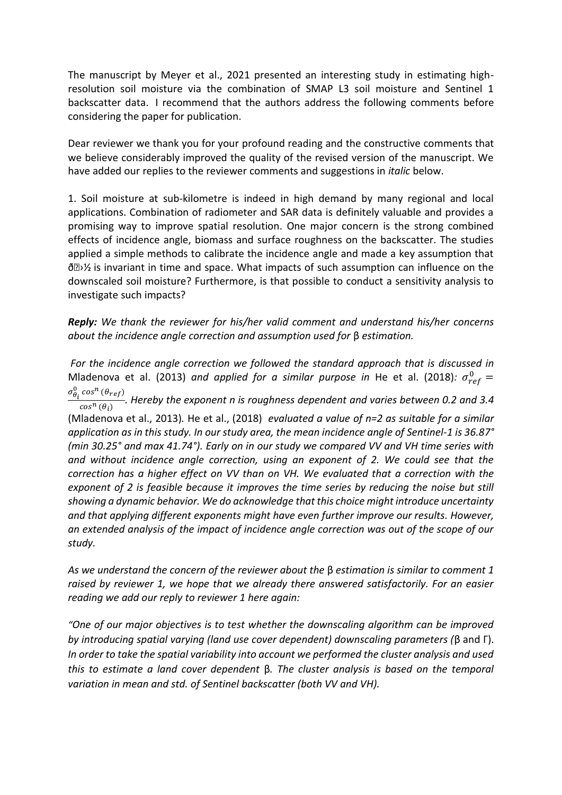The manuscript by Meyer et al., 2021 presented an interesting study in estimating highresolution soil moisture via the combination of SMAP L3 soil moisture and Sentinel 1 backscatter data. I recommend that the authors address the following comments before considering the paper for publication.

Dear reviewer we thank you for your profound reading and the constructive comments that we believe considerably improved the quality of the revised version of the manuscript. We have added our replies to the reviewer comments and suggestions in *italic* below.

1. Soil moisture at sub-kilometre is indeed in high demand by many regional and local applications. Combination of radiometer and SAR data is definitely valuable and provides a promising way to improve spatial resolution. One major concern is the strong combined effects of incidence angle, biomass and surface roughness on the backscatter. The studies applied a simple methods to calibrate the incidence angle and made a key assumption that  $\delta\mathbb{D}\mathcal{V}$  is invariant in time and space. What impacts of such assumption can influence on the downscaled soil moisture? Furthermore, is that possible to conduct a sensitivity analysis to investigate such impacts?

*Reply: We thank the reviewer for his/her valid comment and understand his/her concerns about the incidence angle correction and assumption used for* β *estimation.*

*For the incidence angle correction we followed the standard approach that is discussed in*  Mladenova et al. (2013) and applied for a similar purpose in He et al. (2018):  $\sigma_{ref}^0$  =  $\sigma_{\theta_i}^0 \cos^n(\theta_{ref})$  $\frac{(16)}{\cos^n(\theta_i)}$ . Hereby the exponent *n* is roughness dependent and varies between 0.2 and 3.4 (Mladenova et al., 2013)*.* He et al., (2018) *evaluated a value of n=2 as suitable for a similar application as in this study. In our study area, the mean incidence angle of Sentinel-1 is 36.87° (min 30.25° and max 41.74°). Early on in our study we compared VV and VH time series with and without incidence angle correction, using an exponent of 2. We could see that the correction has a higher effect on VV than on VH. We evaluated that a correction with the exponent of 2 is feasible because it improves the time series by reducing the noise but still showing a dynamic behavior. We do acknowledge that this choice might introduce uncertainty and that applying different exponents might have even further improve our results. However, an extended analysis of the impact of incidence angle correction was out of the scope of our study.* 

*As we understand the concern of the reviewer about the* β *estimation is similar to comment 1 raised by reviewer 1, we hope that we already there answered satisfactorily. For an easier reading we add our reply to reviewer 1 here again:* 

*"One of our major objectives is to test whether the downscaling algorithm can be improved by introducing spatial varying (land use cover dependent) downscaling parameters (*β and Γ). *In order to take the spatial variability into account we performed the cluster analysis and used this to estimate a land cover dependent* β*. The cluster analysis is based on the temporal variation in mean and std. of Sentinel backscatter (both VV and VH).*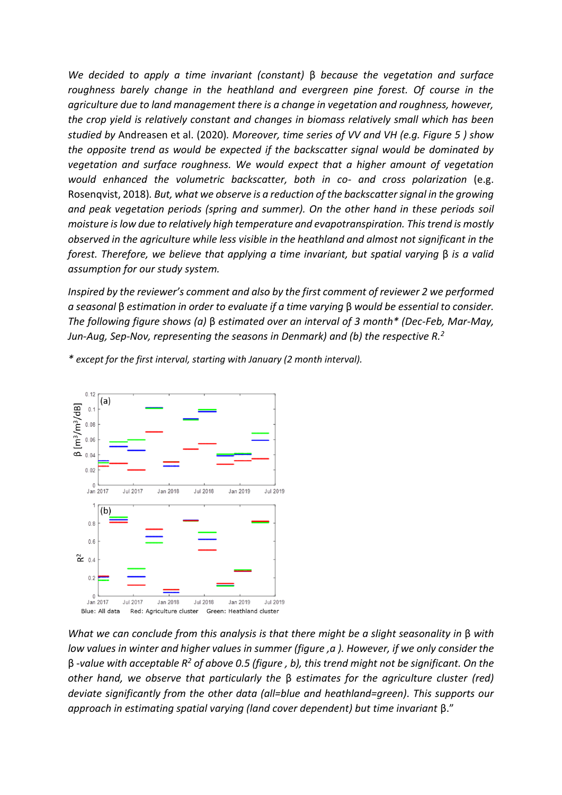*We decided to apply a time invariant (constant)* β *because the vegetation and surface roughness barely change in the heathland and evergreen pine forest. Of course in the agriculture due to land management there is a change in vegetation and roughness, however, the crop yield is relatively constant and changes in biomass relatively small which has been studied by* Andreasen et al. (2020)*. Moreover, time series of VV and VH (e.g. Figure 5 ) show the opposite trend as would be expected if the backscatter signal would be dominated by vegetation and surface roughness. We would expect that a higher amount of vegetation would enhanced the volumetric backscatter, both in co- and cross polarization* (e.g. Rosenqvist, 2018)*. But, what we observe is a reduction of the backscatter signal in the growing and peak vegetation periods (spring and summer). On the other hand in these periods soil moisture is low due to relatively high temperature and evapotranspiration. This trend is mostly observed in the agriculture while less visible in the heathland and almost not significant in the forest. Therefore, we believe that applying a time invariant, but spatial varying* β *is a valid assumption for our study system.*

*Inspired by the reviewer's comment and also by the first comment of reviewer 2 we performed a seasonal* β *estimation in order to evaluate if a time varying* β *would be essential to consider. The following figure shows (a)* β *estimated over an interval of 3 month\* (Dec-Feb, Mar-May, Jun-Aug, Sep-Nov, representing the seasons in Denmark) and (b) the respective R.<sup>2</sup>*



*\* except for the first interval, starting with January (2 month interval).*

*What we can conclude from this analysis is that there might be a slight seasonality in* β *with low values in winter and higher values in summer (figure ,a ). However, if we only consider the*  β *-value with acceptable R<sup>2</sup> of above 0.5 (figure , b), this trend might not be significant. On the other hand, we observe that particularly the* β *estimates for the agriculture cluster (red) deviate significantly from the other data (all=blue and heathland=green). This supports our approach in estimating spatial varying (land cover dependent) but time invariant* β."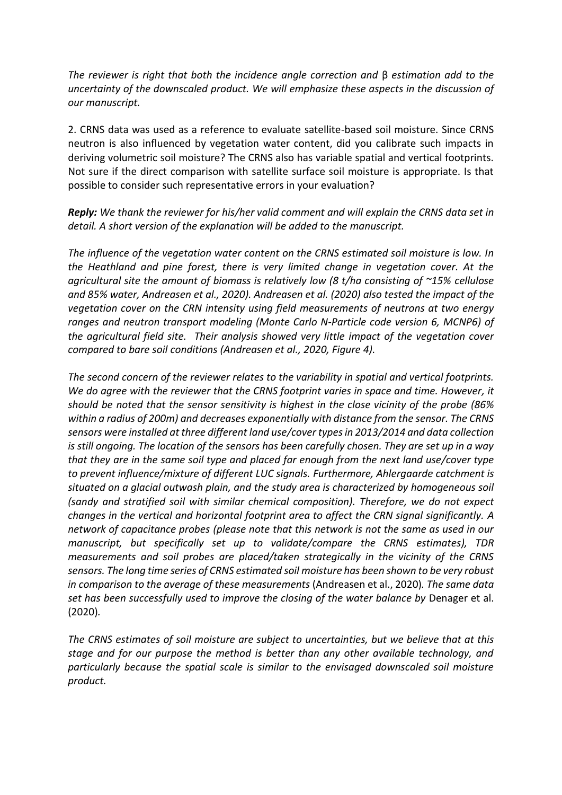*The reviewer is right that both the incidence angle correction and* β *estimation add to the uncertainty of the downscaled product. We will emphasize these aspects in the discussion of our manuscript.* 

2. CRNS data was used as a reference to evaluate satellite-based soil moisture. Since CRNS neutron is also influenced by vegetation water content, did you calibrate such impacts in deriving volumetric soil moisture? The CRNS also has variable spatial and vertical footprints. Not sure if the direct comparison with satellite surface soil moisture is appropriate. Is that possible to consider such representative errors in your evaluation?

*Reply: We thank the reviewer for his/her valid comment and will explain the CRNS data set in detail. A short version of the explanation will be added to the manuscript.* 

*The influence of the vegetation water content on the CRNS estimated soil moisture is low. In the Heathland and pine forest, there is very limited change in vegetation cover. At the agricultural site the amount of biomass is relatively low (8 t/ha consisting of ~15% cellulose and 85% water, Andreasen et al., 2020). Andreasen et al. (2020) also tested the impact of the vegetation cover on the CRN intensity using field measurements of neutrons at two energy ranges and neutron transport modeling (Monte Carlo N-Particle code version 6, MCNP6) of the agricultural field site. Their analysis showed very little impact of the vegetation cover compared to bare soil conditions (Andreasen et al., 2020, Figure 4).*

*The second concern of the reviewer relates to the variability in spatial and vertical footprints. We do agree with the reviewer that the CRNS footprint varies in space and time. However, it should be noted that the sensor sensitivity is highest in the close vicinity of the probe (86% within a radius of 200m) and decreases exponentially with distance from the sensor. The CRNS sensors were installed at three different land use/cover types in 2013/2014 and data collection is still ongoing. The location of the sensors has been carefully chosen. They are set up in a way that they are in the same soil type and placed far enough from the next land use/cover type to prevent influence/mixture of different LUC signals. Furthermore, Ahlergaarde catchment is situated on a glacial outwash plain, and the study area is characterized by homogeneous soil (sandy and stratified soil with similar chemical composition). Therefore, we do not expect changes in the vertical and horizontal footprint area to affect the CRN signal significantly. A network of capacitance probes (please note that this network is not the same as used in our manuscript, but specifically set up to validate/compare the CRNS estimates), TDR measurements and soil probes are placed/taken strategically in the vicinity of the CRNS sensors. The long time series of CRNS estimated soil moisture has been shown to be very robust in comparison to the average of these measurements* (Andreasen et al., 2020)*. The same data set has been successfully used to improve the closing of the water balance by* Denager et al. (2020)*.* 

*The CRNS estimates of soil moisture are subject to uncertainties, but we believe that at this stage and for our purpose the method is better than any other available technology, and particularly because the spatial scale is similar to the envisaged downscaled soil moisture product.*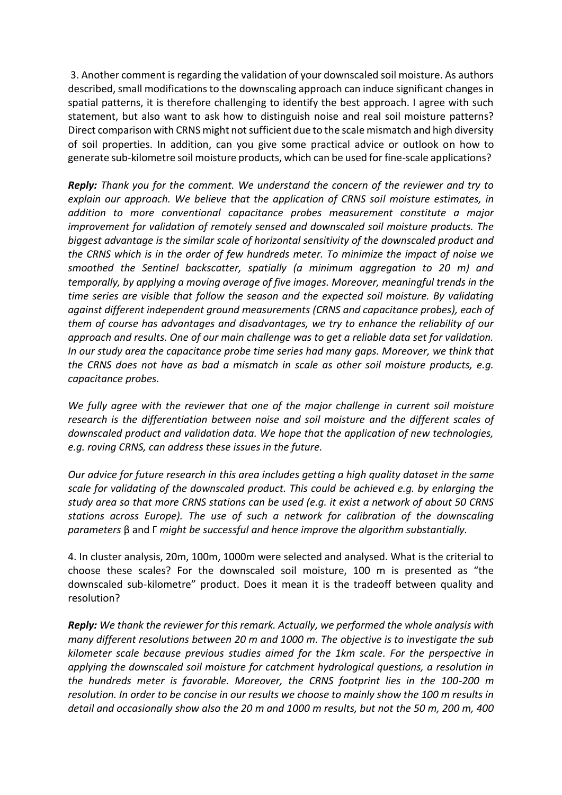3. Another comment is regarding the validation of your downscaled soil moisture. As authors described, small modifications to the downscaling approach can induce significant changes in spatial patterns, it is therefore challenging to identify the best approach. I agree with such statement, but also want to ask how to distinguish noise and real soil moisture patterns? Direct comparison with CRNS might not sufficient due to the scale mismatch and high diversity of soil properties. In addition, can you give some practical advice or outlook on how to generate sub-kilometre soil moisture products, which can be used for fine-scale applications?

*Reply: Thank you for the comment. We understand the concern of the reviewer and try to explain our approach. We believe that the application of CRNS soil moisture estimates, in addition to more conventional capacitance probes measurement constitute a major improvement for validation of remotely sensed and downscaled soil moisture products. The biggest advantage is the similar scale of horizontal sensitivity of the downscaled product and the CRNS which is in the order of few hundreds meter. To minimize the impact of noise we smoothed the Sentinel backscatter, spatially (a minimum aggregation to 20 m) and temporally, by applying a moving average of five images. Moreover, meaningful trends in the time series are visible that follow the season and the expected soil moisture. By validating against different independent ground measurements (CRNS and capacitance probes), each of them of course has advantages and disadvantages, we try to enhance the reliability of our approach and results. One of our main challenge was to get a reliable data set for validation. In our study area the capacitance probe time series had many gaps. Moreover, we think that the CRNS does not have as bad a mismatch in scale as other soil moisture products, e.g. capacitance probes.*

*We fully agree with the reviewer that one of the major challenge in current soil moisture research is the differentiation between noise and soil moisture and the different scales of downscaled product and validation data. We hope that the application of new technologies, e.g. roving CRNS, can address these issues in the future.* 

*Our advice for future research in this area includes getting a high quality dataset in the same scale for validating of the downscaled product. This could be achieved e.g. by enlarging the study area so that more CRNS stations can be used (e.g. it exist a network of about 50 CRNS stations across Europe). The use of such a network for calibration of the downscaling parameters* β and Γ *might be successful and hence improve the algorithm substantially.*

4. In cluster analysis, 20m, 100m, 1000m were selected and analysed. What is the criterial to choose these scales? For the downscaled soil moisture, 100 m is presented as "the downscaled sub-kilometre" product. Does it mean it is the tradeoff between quality and resolution?

*Reply: We thank the reviewer for this remark. Actually, we performed the whole analysis with many different resolutions between 20 m and 1000 m. The objective is to investigate the sub kilometer scale because previous studies aimed for the 1km scale. For the perspective in applying the downscaled soil moisture for catchment hydrological questions, a resolution in the hundreds meter is favorable. Moreover, the CRNS footprint lies in the 100-200 m resolution. In order to be concise in our results we choose to mainly show the 100 m results in detail and occasionally show also the 20 m and 1000 m results, but not the 50 m, 200 m, 400*